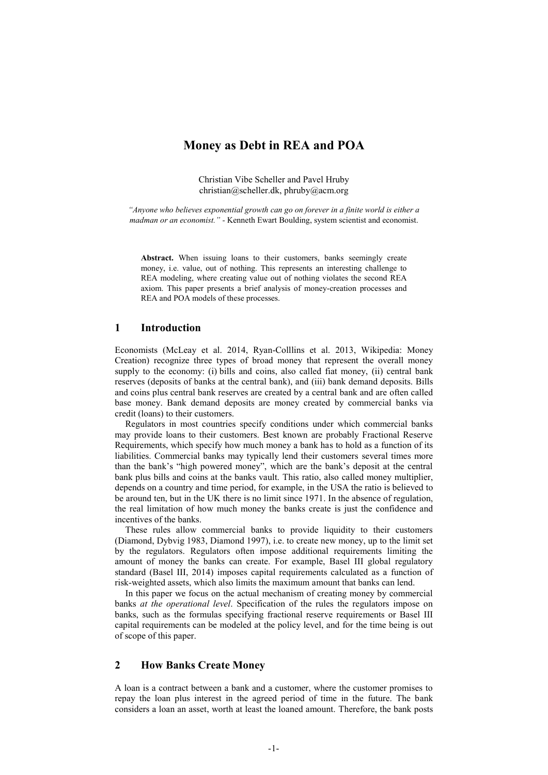# Money as Debt in REA and POA

Christian Vibe Scheller and Pavel Hruby [christian@scheller.dk,](mailto:christian@scheller.dk) [phruby@acm.org](mailto:phruby@acm.org)

*"Anyone who believes exponential growth can go on forever in a finite world is either a madman or an economist." -* Kenneth Ewart Boulding, system scientist and economist.

Abstract. When issuing loans to their customers, banks seemingly create money, i.e. value, out of nothing. This represents an interesting challenge to REA modeling, where creating value out of nothing violates the second REA axiom. This paper presents a brief analysis of money-creation processes and REA and POA models of these processes.

#### 1 Introduction

Economists (McLeay et al. 2014, Ryan-Colllins et al. 2013, Wikipedia: Money Creation) recognize three types of broad money that represent the overall money supply to the economy: (i) bills and coins, also called fiat money, (ii) central bank reserves (deposits of banks at the central bank), and (iii) bank demand deposits. Bills and coins plus central bank reserves are created by a central bank and are often called base money. Bank demand deposits are money created by commercial banks via credit (loans) to their customers.

Regulators in most countries specify conditions under which commercial banks may provide loans to their customers. Best known are probably Fractional Reserve Requirements, which specify how much money a bank has to hold as a function of its liabilities. Commercial banks may typically lend their customers several times more than the bank's "high powered money", which are the bank's deposit at the central bank plus bills and coins at the banks vault. This ratio, also called money multiplier, depends on a country and time period, for example, in the USA the ratio is believed to be around ten, but in the UK there is no limit since 1971. In the absence of regulation, the real limitation of how much money the banks create is just the confidence and incentives of the banks.

These rules allow commercial banks to provide liquidity to their customers (Diamond, Dybvig 1983, Diamond 1997), i.e. to create new money, up to the limit set by the regulators. Regulators often impose additional requirements limiting the amount of money the banks can create. For example, Basel III global regulatory standard (Basel III, 2014) imposes capital requirements calculated as a function of risk-weighted assets, which also limits the maximum amount that banks can lend.

In this paper we focus on the actual mechanism of creating money by commercial banks *at the operational level*. Specification of the rules the regulators impose on banks, such as the formulas specifying fractional reserve requirements or Basel III capital requirements can be modeled at the policy level, and for the time being is out of scope of this paper.

# 2 How Banks Create Money

A loan is a contract between a bank and a customer, where the customer promises to repay the loan plus interest in the agreed period of time in the future. The bank considers a loan an asset, worth at least the loaned amount. Therefore, the bank posts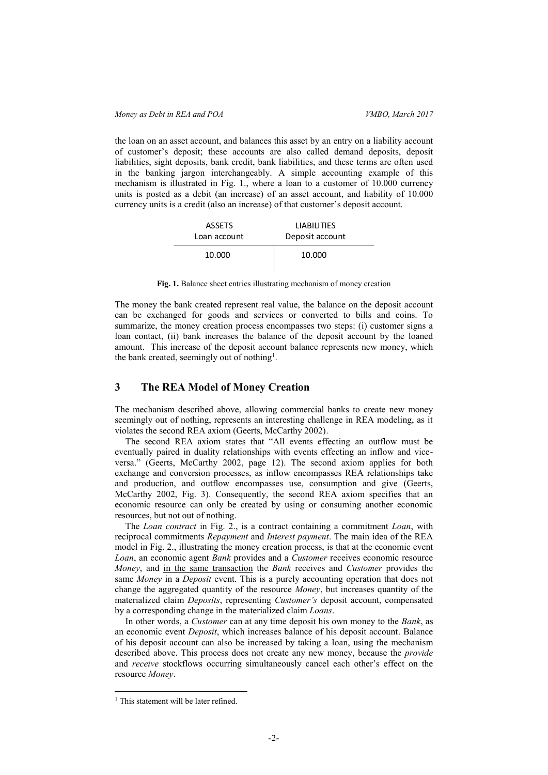the loan on an asset account, and balances this asset by an entry on a liability account of customer's deposit; these accounts are also called demand deposits, deposit liabilities, sight deposits, bank credit, bank liabilities, and these terms are often used in the banking jargon interchangeably. A simple accounting example of this mechanism is illustrated in [Fig. 1.](#page-1-0), where a loan to a customer of 10.000 currency units is posted as a debit (an increase) of an asset account, and liability of 10.000 currency units is a credit (also an increase) of that customer's deposit account.

| <b>ASSETS</b> | <b>LIABILITIES</b> |
|---------------|--------------------|
| Loan account  | Deposit account    |
| 10.000        | 10.000             |

Fig. 1. Balance sheet entries illustrating mechanism of money creation

<span id="page-1-0"></span>The money the bank created represent real value, the balance on the deposit account can be exchanged for goods and services or converted to bills and coins. To summarize, the money creation process encompasses two steps: (i) customer signs a loan contact, (ii) bank increases the balance of the deposit account by the loaned amount. This increase of the deposit account balance represents new money, which the bank created, seemingly out of nothing<sup>1</sup>.

## 3 The REA Model of Money Creation

The mechanism described above, allowing commercial banks to create new money seemingly out of nothing, represents an interesting challenge in REA modeling, as it violates the second REA axiom (Geerts, McCarthy 2002).

The second REA axiom states that "All events effecting an outflow must be eventually paired in duality relationships with events effecting an inflow and viceversa." (Geerts, McCarthy 2002, page 12). The second axiom applies for both exchange and conversion processes, as inflow encompasses REA relationships take and production, and outflow encompasses use, consumption and give (Geerts, McCarthy 2002, Fig. 3). Consequently, the second REA axiom specifies that an economic resource can only be created by using or consuming another economic resources, but not out of nothing.

The *Loan contract* in [Fig. 2.](#page-2-0), is a contract containing a commitment *Loan*, with reciprocal commitments *Repayment* and *Interest payment*. The main idea of the REA model in [Fig. 2.](#page-2-0), illustrating the money creation process, is that at the economic event *Loan*, an economic agent *Bank* provides and a *Customer* receives economic resource *Money*, and in the same transaction the *Bank* receives and *Customer* provides the same *Money* in a *Deposit* event. This is a purely accounting operation that does not change the aggregated quantity of the resource *Money*, but increases quantity of the materialized claim *Deposits*, representing *Customer's* deposit account, compensated by a corresponding change in the materialized claim *Loans*.

In other words, a *Customer* can at any time deposit his own money to the *Bank*, as an economic event *Deposit*, which increases balance of his deposit account. Balance of his deposit account can also be increased by taking a loan, using the mechanism described above. This process does not create any new money, because the *provide* and *receive* stockflows occurring simultaneously cancel each other's effect on the resource *Money*.

1

<sup>&</sup>lt;sup>1</sup> This statement will be later refined.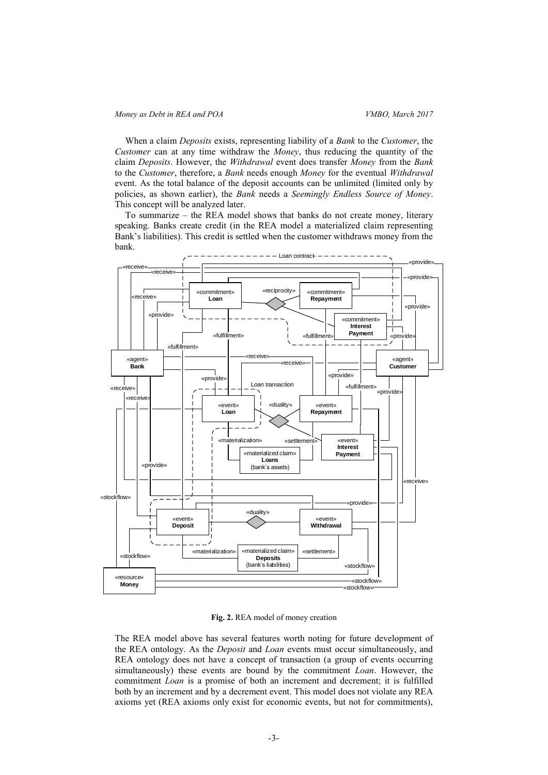#### *Money as Debt in REA and POA VMBO, March 2017*

When a claim *Deposits* exists, representing liability of a *Bank* to the *Customer*, the *Customer* can at any time withdraw the *Money*, thus reducing the quantity of the claim *Deposits*. However, the *Withdrawal* event does transfer *Money* from the *Bank* to the *Customer*, therefore, a *Bank* needs enough *Money* for the eventual *Withdrawal* event. As the total balance of the deposit accounts can be unlimited (limited only by policies, as shown earlier), the *Bank* needs a *Seemingly Endless Source of Money*. This concept will be analyzed later.

To summarize – the REA model shows that banks do not create money, literary speaking. Banks create credit (in the REA model a materialized claim representing Bank's liabilities). This credit is settled when the customer withdraws money from the bank.



Fig. 2. REA model of money creation

<span id="page-2-0"></span>The REA model above has several features worth noting for future development of the REA ontology. As the *Deposit* and *Loan* events must occur simultaneously, and REA ontology does not have a concept of transaction (a group of events occurring simultaneously) these events are bound by the commitment *Loan*. However, the commitment *Loan* is a promise of both an increment and decrement; it is fulfilled both by an increment and by a decrement event. This model does not violate any REA axioms yet (REA axioms only exist for economic events, but not for commitments),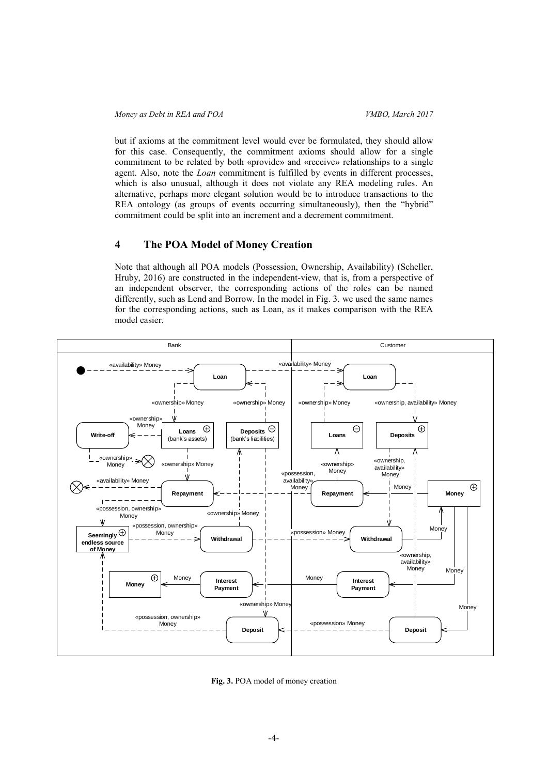but if axioms at the commitment level would ever be formulated, they should allow for this case. Consequently, the commitment axioms should allow for a single commitment to be related by both «provide» and «receive» relationships to a single agent. Also, note the *Loan* commitment is fulfilled by events in different processes, which is also unusual, although it does not violate any REA modeling rules. An alternative, perhaps more elegant solution would be to introduce transactions to the REA ontology (as groups of events occurring simultaneously), then the "hybrid" commitment could be split into an increment and a decrement commitment.

### 4 The POA Model of Money Creation

Note that although all POA models (Possession, Ownership, Availability) (Scheller, Hruby, 2016) are constructed in the independent-view, that is, from a perspective of an independent observer, the corresponding actions of the roles can be named differently, such as Lend and Borrow. In the model in [Fig. 3.](#page-3-0) we used the same names for the corresponding actions, such as Loan, as it makes comparison with the REA model easier.



<span id="page-3-0"></span>Fig. 3. POA model of money creation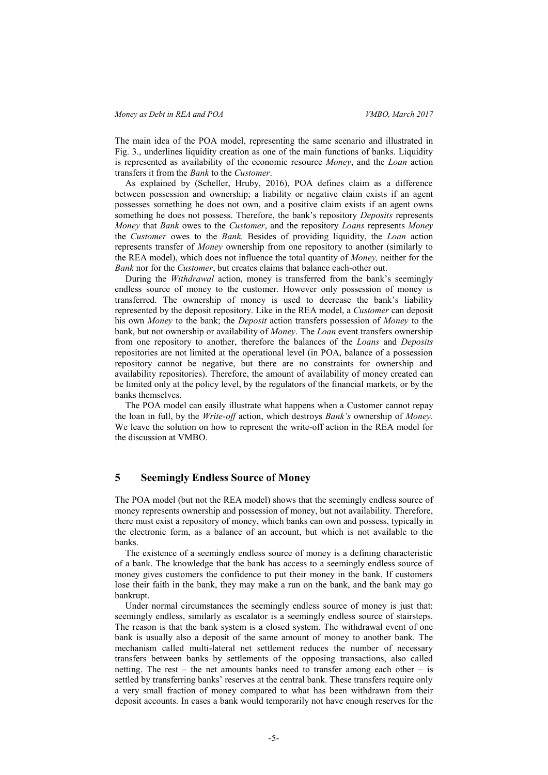The main idea of the POA model, representing the same scenario and illustrated in [Fig. 3.](#page-3-0), underlines liquidity creation as one of the main functions of banks. Liquidity is represented as availability of the economic resource *Money*, and the *Loan* action transfers it from the *Bank* to the *Customer*.

As explained by (Scheller, Hruby, 2016), POA defines claim as a difference between possession and ownership; a liability or negative claim exists if an agent possesses something he does not own, and a positive claim exists if an agent owns something he does not possess. Therefore, the bank's repository *Deposits* represents *Money* that *Bank* owes to the *Customer*, and the repository *Loans* represents *Money* the *Customer* owes to the *Bank.* Besides of providing liquidity, the *Loan* action represents transfer of *Money* ownership from one repository to another (similarly to the REA model), which does not influence the total quantity of *Money,* neither for the *Bank* nor for the *Customer*, but creates claims that balance each-other out.

During the *Withdrawal* action, money is transferred from the bank's seemingly endless source of money to the customer. However only possession of money is transferred. The ownership of money is used to decrease the bank's liability represented by the deposit repository. Like in the REA model, a *Customer* can deposit his own *Money* to the bank; the *Deposit* action transfers possession of *Money* to the bank, but not ownership or availability of *Money*. The *Loan* event transfers ownership from one repository to another, therefore the balances of the *Loans* and *Deposits* repositories are not limited at the operational level (in POA, balance of a possession repository cannot be negative, but there are no constraints for ownership and availability repositories). Therefore, the amount of availability of money created can be limited only at the policy level, by the regulators of the financial markets, or by the banks themselves.

The POA model can easily illustrate what happens when a Customer cannot repay the loan in full, by the *Write-off* action, which destroys *Bank's* ownership of *Money*. We leave the solution on how to represent the write-off action in the REA model for the discussion at VMBO.

## 5 Seemingly Endless Source of Money

The POA model (but not the REA model) shows that the seemingly endless source of money represents ownership and possession of money, but not availability. Therefore, there must exist a repository of money, which banks can own and possess, typically in the electronic form, as a balance of an account, but which is not available to the banks.

The existence of a seemingly endless source of money is a defining characteristic of a bank. The knowledge that the bank has access to a seemingly endless source of money gives customers the confidence to put their money in the bank. If customers lose their faith in the bank, they may make a run on the bank, and the bank may go bankrupt.

Under normal circumstances the seemingly endless source of money is just that: seemingly endless, similarly as escalator is a seemingly endless source of stairsteps. The reason is that the bank system is a closed system. The withdrawal event of one bank is usually also a deposit of the same amount of money to another bank. The mechanism called multi-lateral net settlement reduces the number of necessary transfers between banks by settlements of the opposing transactions, also called netting. The rest – the net amounts banks need to transfer among each other – is settled by transferring banks' reserves at the central bank. These transfers require only a very small fraction of money compared to what has been withdrawn from their deposit accounts. In cases a bank would temporarily not have enough reserves for the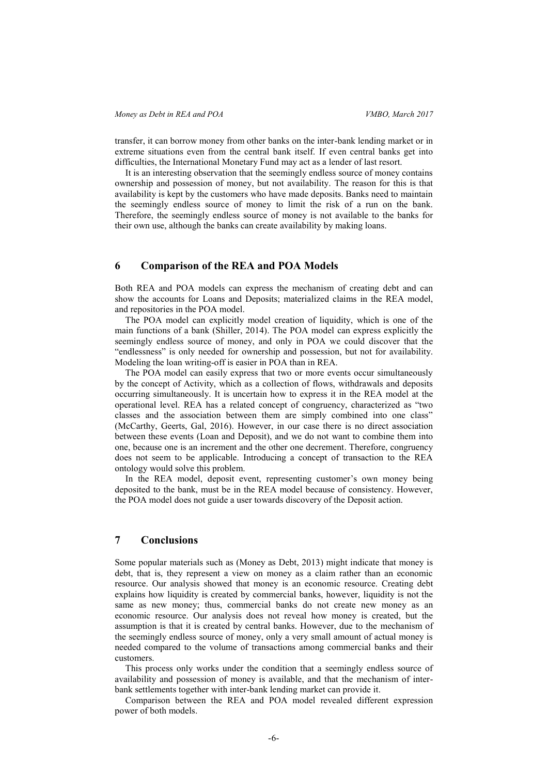transfer, it can borrow money from other banks on the inter-bank lending market or in extreme situations even from the central bank itself. If even central banks get into difficulties, the International Monetary Fund may act as a lender of last resort.

It is an interesting observation that the seemingly endless source of money contains ownership and possession of money, but not availability. The reason for this is that availability is kept by the customers who have made deposits. Banks need to maintain the seemingly endless source of money to limit the risk of a run on the bank. Therefore, the seemingly endless source of money is not available to the banks for their own use, although the banks can create availability by making loans.

#### 6 Comparison of the REA and POA Models

Both REA and POA models can express the mechanism of creating debt and can show the accounts for Loans and Deposits; materialized claims in the REA model, and repositories in the POA model.

The POA model can explicitly model creation of liquidity, which is one of the main functions of a bank (Shiller, 2014). The POA model can express explicitly the seemingly endless source of money, and only in POA we could discover that the "endlessness" is only needed for ownership and possession, but not for availability. Modeling the loan writing-off is easier in POA than in REA.

The POA model can easily express that two or more events occur simultaneously by the concept of Activity, which as a collection of flows, withdrawals and deposits occurring simultaneously. It is uncertain how to express it in the REA model at the operational level. REA has a related concept of congruency, characterized as "two classes and the association between them are simply combined into one class" (McCarthy, Geerts, Gal, 2016). However, in our case there is no direct association between these events (Loan and Deposit), and we do not want to combine them into one, because one is an increment and the other one decrement. Therefore, congruency does not seem to be applicable. Introducing a concept of transaction to the REA ontology would solve this problem.

In the REA model, deposit event, representing customer's own money being deposited to the bank, must be in the REA model because of consistency. However, the POA model does not guide a user towards discovery of the Deposit action.

# 7 Conclusions

Some popular materials such as (Money as Debt, 2013) might indicate that money is debt, that is, they represent a view on money as a claim rather than an economic resource. Our analysis showed that money is an economic resource. Creating debt explains how liquidity is created by commercial banks, however, liquidity is not the same as new money; thus, commercial banks do not create new money as an economic resource. Our analysis does not reveal how money is created, but the assumption is that it is created by central banks. However, due to the mechanism of the seemingly endless source of money, only a very small amount of actual money is needed compared to the volume of transactions among commercial banks and their customers.

This process only works under the condition that a seemingly endless source of availability and possession of money is available, and that the mechanism of interbank settlements together with inter-bank lending market can provide it.

Comparison between the REA and POA model revealed different expression power of both models.